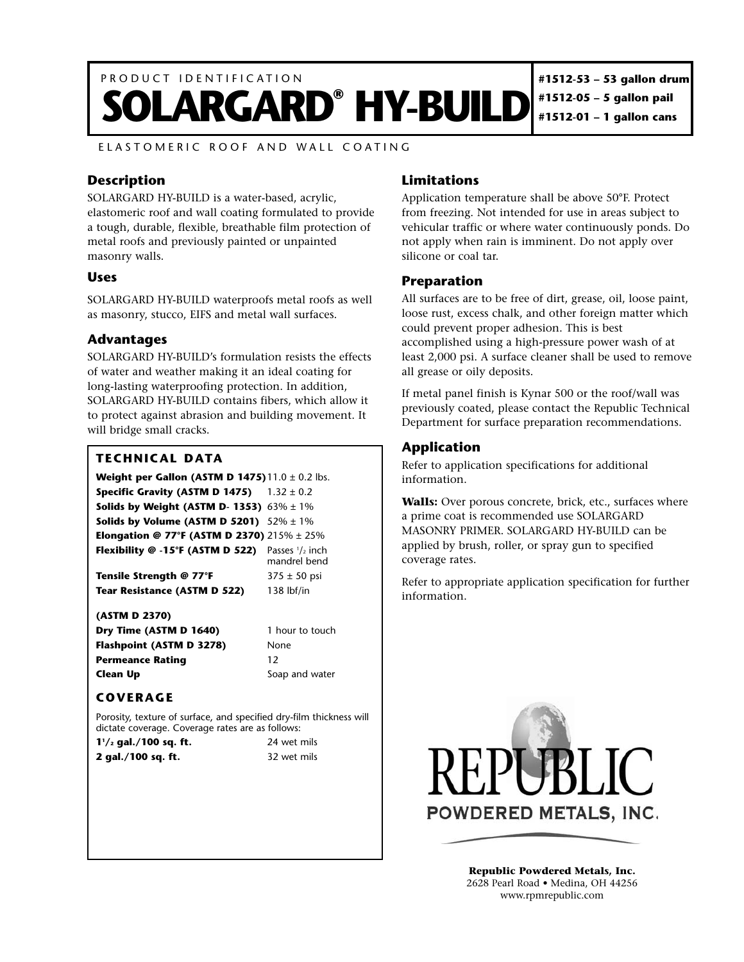

ELASTOMERIC ROOF AND WALL COATING

## **Description**

SOLARGARD HY-BUILD is a water-based, acrylic, elastomeric roof and wall coating formulated to provide a tough, durable, flexible, breathable film protection of metal roofs and previously painted or unpainted masonry walls.

### **Uses**

SOLARGARD HY-BUILD waterproofs metal roofs as well as masonry, stucco, EIFS and metal wall surfaces.

### **Advantages**

SOLARGARD HY-BUILD's formulation resists the effects of water and weather making it an ideal coating for long-lasting waterproofing protection. In addition, SOLARGARD HY-BUILD contains fibers, which allow it to protect against abrasion and building movement. It will bridge small cracks.

#### **TECHNICAL DATA**

#### **Weight per Gallon (ASTM D 1475)** 11.0 ± 0.2 lbs. **Specific Gravity (ASTM D 1475)** 1.32  $\pm$  0.2 **Solids by Weight (ASTM D- 1353)** 63% ± 1% **Solids by Volume (ASTM D 5201)** 52% ± 1% **Elongation @ 77°F (ASTM D 2370)** 215% ± 25% **Flexibility @**  $-15^{\circ}F$  **(ASTM D 522)** Passes  $\frac{1}{2}$  inch mandrel bend

**Tensile Strength @ 77°F** 375 ± 50 psi **Tear Resistance (ASTM D 522)** 138 lbf/in

#### **(ASTM D 2370)**

**Dry Time (ASTM D 1640)** 1 hour to touch **Flashpoint (ASTM D 3278)** None **Permeance Rating 12 Clean Up** Soap and water

# **COVERAGE**

Porosity, texture of surface, and specified dry-film thickness will dictate coverage. Coverage rates are as follows:

| $1\frac{1}{2}$ gal./100 sq. ft. | 24 wet mils |
|---------------------------------|-------------|
| 2 gal./100 sq. ft.              | 32 wet mils |

### **Limitations**

Application temperature shall be above 50°F. Protect from freezing. Not intended for use in areas subject to vehicular traffic or where water continuously ponds. Do not apply when rain is imminent. Do not apply over silicone or coal tar.

### **Preparation**

All surfaces are to be free of dirt, grease, oil, loose paint, loose rust, excess chalk, and other foreign matter which could prevent proper adhesion. This is best accomplished using a high-pressure power wash of at least 2,000 psi. A surface cleaner shall be used to remove all grease or oily deposits.

If metal panel finish is Kynar 500 or the roof/wall was previously coated, please contact the Republic Technical Department for surface preparation recommendations.

# **Application**

Refer to application specifications for additional information.

**Walls:** Over porous concrete, brick, etc., surfaces where a prime coat is recommended use SOLARGARD MASONRY PRIMER. SOLARGARD HY-BUILD can be applied by brush, roller, or spray gun to specified coverage rates.

Refer to appropriate application specification for further information.



**Republic Powdered Metals, Inc.** 2628 Pearl Road • Medina, OH 44256 www.rpmrepublic.com